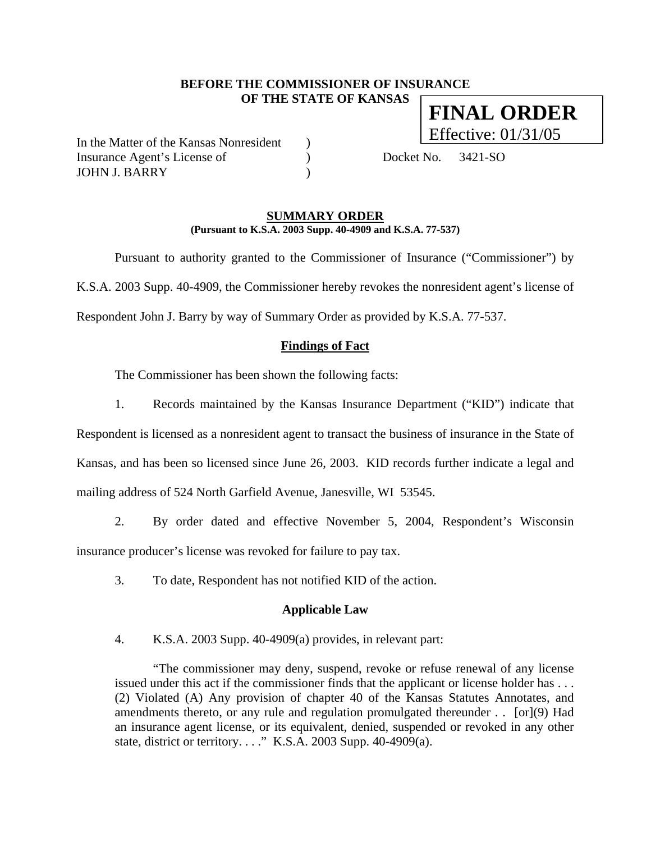### **BEFORE THE COMMISSIONER OF INSURANCE OF THE STATE OF KANSAS FINAL ORDER**

In the Matter of the Kansas Nonresident (a) Insurance Agent's License of (a) Docket No. 3421-SO JOHN J. BARRY )

Effective: 01/31/05

#### **SUMMARY ORDER (Pursuant to K.S.A. 2003 Supp. 40-4909 and K.S.A. 77-537)**

 Pursuant to authority granted to the Commissioner of Insurance ("Commissioner") by K.S.A. 2003 Supp. 40-4909, the Commissioner hereby revokes the nonresident agent's license of Respondent John J. Barry by way of Summary Order as provided by K.S.A. 77-537.

## **Findings of Fact**

The Commissioner has been shown the following facts:

1. Records maintained by the Kansas Insurance Department ("KID") indicate that

Respondent is licensed as a nonresident agent to transact the business of insurance in the State of Kansas, and has been so licensed since June 26, 2003. KID records further indicate a legal and mailing address of 524 North Garfield Avenue, Janesville, WI 53545.

2. By order dated and effective November 5, 2004, Respondent's Wisconsin insurance producer's license was revoked for failure to pay tax.

3. To date, Respondent has not notified KID of the action.

#### **Applicable Law**

4. K.S.A. 2003 Supp. 40-4909(a) provides, in relevant part:

"The commissioner may deny, suspend, revoke or refuse renewal of any license issued under this act if the commissioner finds that the applicant or license holder has . . . (2) Violated (A) Any provision of chapter 40 of the Kansas Statutes Annotates, and amendments thereto, or any rule and regulation promulgated thereunder . . [or](9) Had an insurance agent license, or its equivalent, denied, suspended or revoked in any other state, district or territory. . . ." K.S.A. 2003 Supp. 40-4909(a).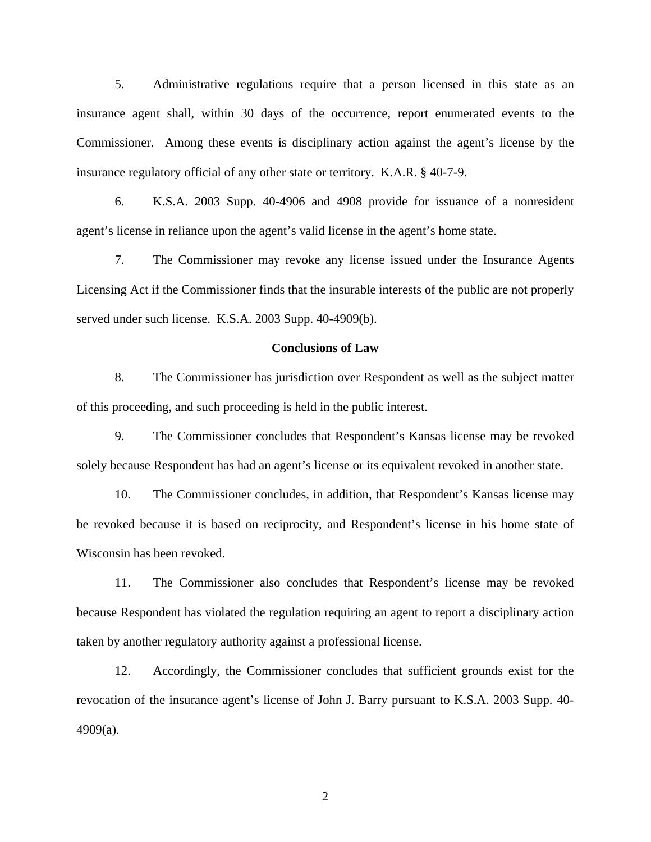5. Administrative regulations require that a person licensed in this state as an insurance agent shall, within 30 days of the occurrence, report enumerated events to the Commissioner. Among these events is disciplinary action against the agent's license by the insurance regulatory official of any other state or territory. K.A.R. § 40-7-9.

6. K.S.A. 2003 Supp. 40-4906 and 4908 provide for issuance of a nonresident agent's license in reliance upon the agent's valid license in the agent's home state.

7. The Commissioner may revoke any license issued under the Insurance Agents Licensing Act if the Commissioner finds that the insurable interests of the public are not properly served under such license. K.S.A. 2003 Supp. 40-4909(b).

#### **Conclusions of Law**

8. The Commissioner has jurisdiction over Respondent as well as the subject matter of this proceeding, and such proceeding is held in the public interest.

9. The Commissioner concludes that Respondent's Kansas license may be revoked solely because Respondent has had an agent's license or its equivalent revoked in another state.

10. The Commissioner concludes, in addition, that Respondent's Kansas license may be revoked because it is based on reciprocity, and Respondent's license in his home state of Wisconsin has been revoked.

11. The Commissioner also concludes that Respondent's license may be revoked because Respondent has violated the regulation requiring an agent to report a disciplinary action taken by another regulatory authority against a professional license.

12. Accordingly, the Commissioner concludes that sufficient grounds exist for the revocation of the insurance agent's license of John J. Barry pursuant to K.S.A. 2003 Supp. 40- 4909(a).

2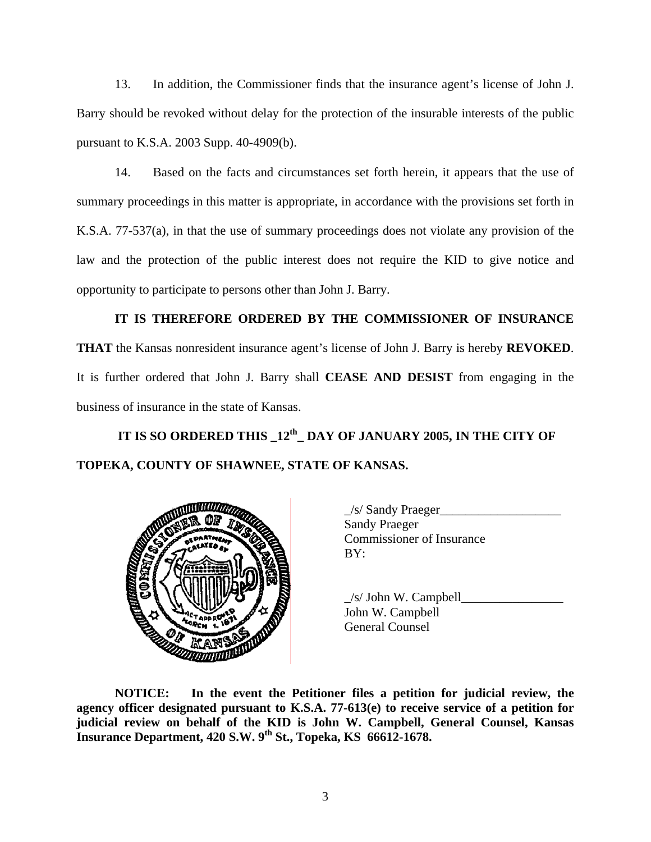13. In addition, the Commissioner finds that the insurance agent's license of John J. Barry should be revoked without delay for the protection of the insurable interests of the public pursuant to K.S.A. 2003 Supp. 40-4909(b).

14. Based on the facts and circumstances set forth herein, it appears that the use of summary proceedings in this matter is appropriate, in accordance with the provisions set forth in K.S.A. 77-537(a), in that the use of summary proceedings does not violate any provision of the law and the protection of the public interest does not require the KID to give notice and opportunity to participate to persons other than John J. Barry.

**IT IS THEREFORE ORDERED BY THE COMMISSIONER OF INSURANCE THAT** the Kansas nonresident insurance agent's license of John J. Barry is hereby **REVOKED**. It is further ordered that John J. Barry shall **CEASE AND DESIST** from engaging in the business of insurance in the state of Kansas.

 **IT IS SO ORDERED THIS \_12th\_ DAY OF JANUARY 2005, IN THE CITY OF TOPEKA, COUNTY OF SHAWNEE, STATE OF KANSAS.** 



 $\angle$ s/ Sandy Praeger $\angle$ Sandy Praeger Commissioner of Insurance

 $\angle$ s/ John W. Campbell John W. Campbell General Counsel

**NOTICE: In the event the Petitioner files a petition for judicial review, the agency officer designated pursuant to K.S.A. 77-613(e) to receive service of a petition for judicial review on behalf of the KID is John W. Campbell, General Counsel, Kansas Insurance Department, 420 S.W. 9th St., Topeka, KS 66612-1678.**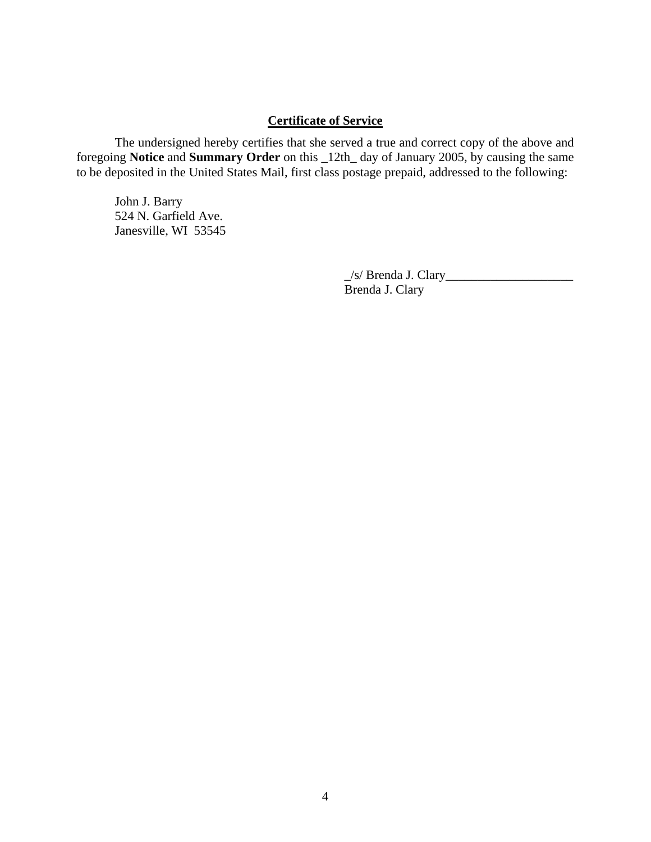# **Certificate of Service**

 The undersigned hereby certifies that she served a true and correct copy of the above and foregoing **Notice** and **Summary Order** on this \_12th\_ day of January 2005, by causing the same to be deposited in the United States Mail, first class postage prepaid, addressed to the following:

 John J. Barry 524 N. Garfield Ave. Janesville, WI 53545

> \_/s/ Brenda J. Clary\_\_\_\_\_\_\_\_\_\_\_\_\_\_\_\_\_\_\_\_ Brenda J. Clary